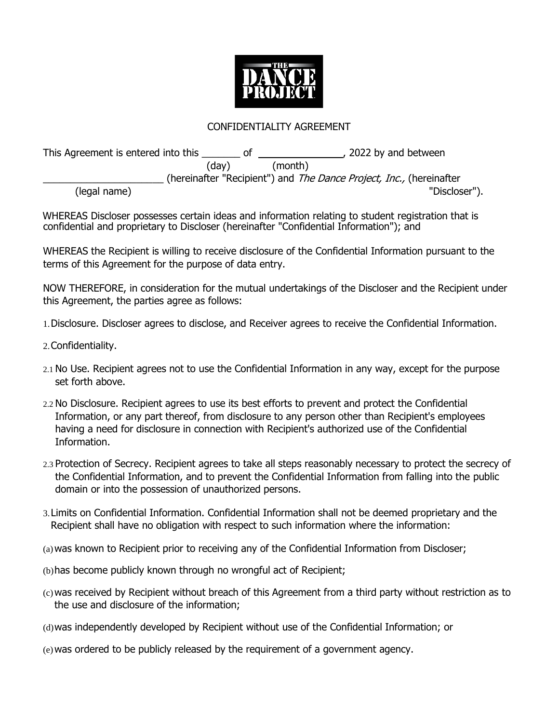

## CONFIDENTIALITY AGREEMENT

This Agreement is entered into this 100 of this 1000 pm and between the Agreement is entered into this 100 of 100 pm and between (day) (month) (hereinafter "Recipient") and The Dance Project, Inc., (hereinafter (legal name) "Discloser").

WHEREAS Discloser possesses certain ideas and information relating to student registration that is confidential and proprietary to Discloser (hereinafter "Confidential Information"); and

WHEREAS the Recipient is willing to receive disclosure of the Confidential Information pursuant to the terms of this Agreement for the purpose of data entry.

NOW THEREFORE, in consideration for the mutual undertakings of the Discloser and the Recipient under this Agreement, the parties agree as follows:

1.Disclosure. Discloser agrees to disclose, and Receiver agrees to receive the Confidential Information.

- 2.Confidentiality.
- 2.1 No Use. Recipient agrees not to use the Confidential Information in any way, except for the purpose set forth above.
- 2.2 No Disclosure. Recipient agrees to use its best efforts to prevent and protect the Confidential Information, or any part thereof, from disclosure to any person other than Recipient's employees having a need for disclosure in connection with Recipient's authorized use of the Confidential Information.
- 2.3 Protection of Secrecy. Recipient agrees to take all steps reasonably necessary to protect the secrecy of the Confidential Information, and to prevent the Confidential Information from falling into the public domain or into the possession of unauthorized persons.
- 3.Limits on Confidential Information. Confidential Information shall not be deemed proprietary and the Recipient shall have no obligation with respect to such information where the information:
- (a)was known to Recipient prior to receiving any of the Confidential Information from Discloser;
- (b)has become publicly known through no wrongful act of Recipient;
- (c)was received by Recipient without breach of this Agreement from a third party without restriction as to the use and disclosure of the information;
- (d)was independently developed by Recipient without use of the Confidential Information; or
- (e)was ordered to be publicly released by the requirement of a government agency.